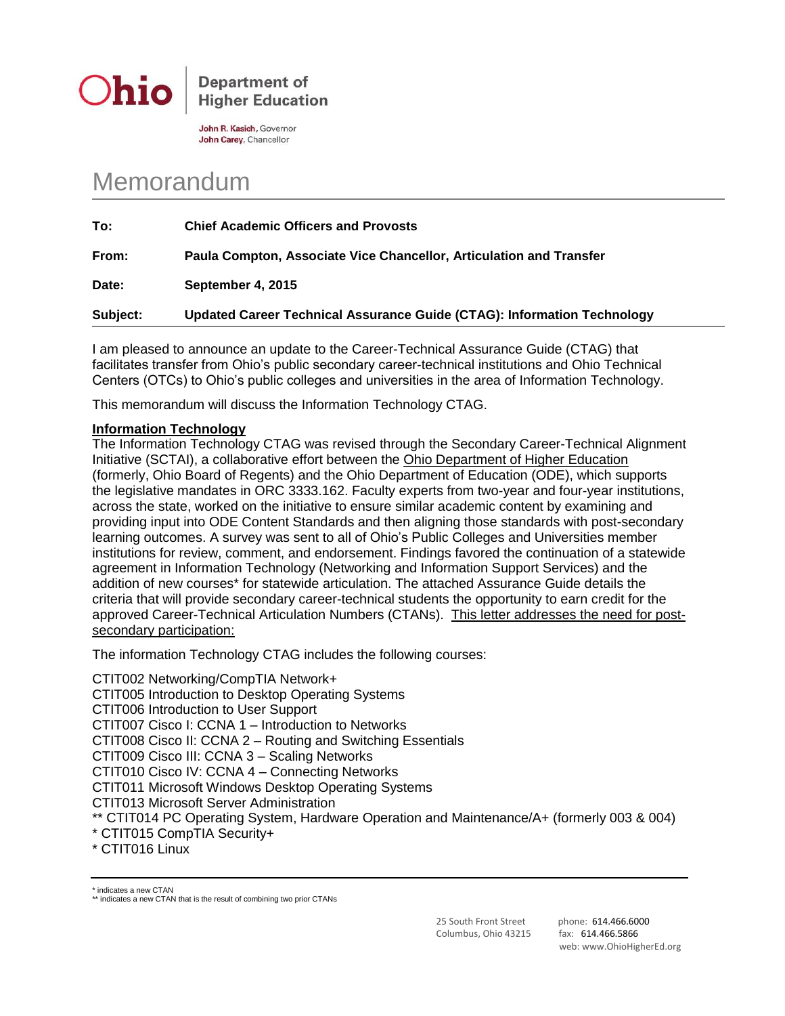

**Department of Higher Education** 

John R. Kasich, Governor John Carey, Chancellor

# Memorandum

| To:      | <b>Chief Academic Officers and Provosts</b>                             |
|----------|-------------------------------------------------------------------------|
| From:    | Paula Compton, Associate Vice Chancellor, Articulation and Transfer     |
| Date:    | September 4, 2015                                                       |
| Subject: | Updated Career Technical Assurance Guide (CTAG): Information Technology |

I am pleased to announce an update to the Career-Technical Assurance Guide (CTAG) that facilitates transfer from Ohio's public secondary career-technical institutions and Ohio Technical Centers (OTCs) to Ohio's public colleges and universities in the area of Information Technology.

This memorandum will discuss the Information Technology CTAG.

## **Information Technology**

The Information Technology CTAG was revised through the Secondary Career-Technical Alignment Initiative (SCTAI), a collaborative effort between the Ohio Department of Higher Education (formerly, Ohio Board of Regents) and the Ohio Department of Education (ODE), which supports the legislative mandates in ORC 3333.162. Faculty experts from two-year and four-year institutions, across the state, worked on the initiative to ensure similar academic content by examining and providing input into ODE Content Standards and then aligning those standards with post-secondary learning outcomes. A survey was sent to all of Ohio's Public Colleges and Universities member institutions for review, comment, and endorsement. Findings favored the continuation of a statewide agreement in Information Technology (Networking and Information Support Services) and the addition of new courses\* for statewide articulation. The attached Assurance Guide details the criteria that will provide secondary career-technical students the opportunity to earn credit for the approved Career-Technical Articulation Numbers (CTANs). This letter addresses the need for postsecondary participation:

The information Technology CTAG includes the following courses:

CTIT002 Networking/CompTIA Network+ CTIT005 Introduction to Desktop Operating Systems CTIT006 Introduction to User Support CTIT007 Cisco I: CCNA 1 – Introduction to Networks CTIT008 Cisco II: CCNA 2 – Routing and Switching Essentials CTIT009 Cisco III: CCNA 3 – Scaling Networks CTIT010 Cisco IV: CCNA 4 – Connecting Networks CTIT011 Microsoft Windows Desktop Operating Systems CTIT013 Microsoft Server Administration \*\* CTIT014 PC Operating System, Hardware Operation and Maintenance/A+ (formerly 003 & 004) \* CTIT015 CompTIA Security+ \* CTIT016 Linux

\* indicates a new CTAN

25 South Front Street phone: 614.466.6000 Columbus, Ohio 43215 fax: 614.466.5866

web: www.OhioHigherEd.org

<sup>\*\*</sup> indicates a new CTAN that is the result of combining two prior CTANs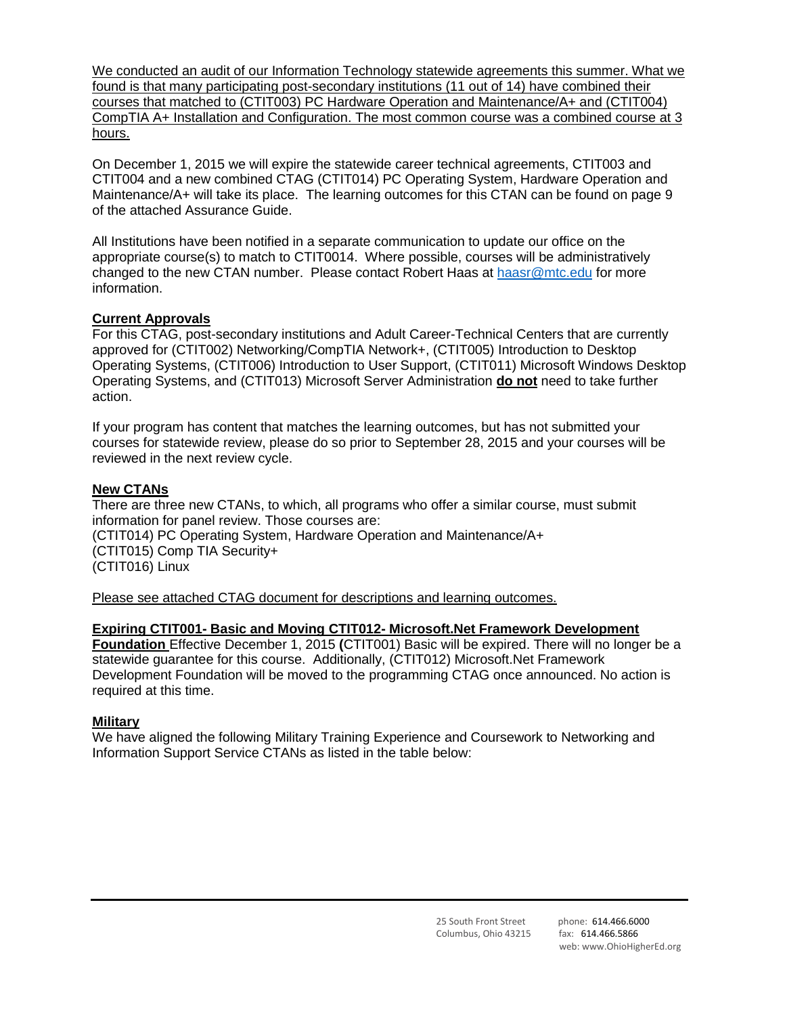We conducted an audit of our Information Technology statewide agreements this summer. What we found is that many participating post-secondary institutions (11 out of 14) have combined their courses that matched to (CTIT003) PC Hardware Operation and Maintenance/A+ and (CTIT004) CompTIA A+ Installation and Configuration. The most common course was a combined course at 3 hours.

On December 1, 2015 we will expire the statewide career technical agreements, CTIT003 and CTIT004 and a new combined CTAG (CTIT014) PC Operating System, Hardware Operation and Maintenance/A+ will take its place. The learning outcomes for this CTAN can be found on page 9 of the attached Assurance Guide.

All Institutions have been notified in a separate communication to update our office on the appropriate course(s) to match to CTIT0014. Where possible, courses will be administratively changed to the new CTAN number. Please contact Robert Haas at [haasr@mtc.edu](mailto:haasr@mtc.edu) for more information.

### **Current Approvals**

For this CTAG, post-secondary institutions and Adult Career-Technical Centers that are currently approved for (CTIT002) Networking/CompTIA Network+, (CTIT005) Introduction to Desktop Operating Systems, (CTIT006) Introduction to User Support, (CTIT011) Microsoft Windows Desktop Operating Systems, and (CTIT013) Microsoft Server Administration **do not** need to take further action.

If your program has content that matches the learning outcomes, but has not submitted your courses for statewide review, please do so prior to September 28, 2015 and your courses will be reviewed in the next review cycle.

### **New CTANs**

There are three new CTANs, to which, all programs who offer a similar course, must submit information for panel review. Those courses are: (CTIT014) PC Operating System, Hardware Operation and Maintenance/A+ (CTIT015) Comp TIA Security+ (CTIT016) Linux

Please see attached CTAG document for descriptions and learning outcomes.

#### **Expiring CTIT001- Basic and Moving CTIT012- Microsoft.Net Framework Development**

**Foundation** Effective December 1, 2015 **(**CTIT001) Basic will be expired. There will no longer be a statewide guarantee for this course. Additionally, (CTIT012) Microsoft.Net Framework Development Foundation will be moved to the programming CTAG once announced. No action is required at this time.

#### **Military**

We have aligned the following Military Training Experience and Coursework to Networking and Information Support Service CTANs as listed in the table below: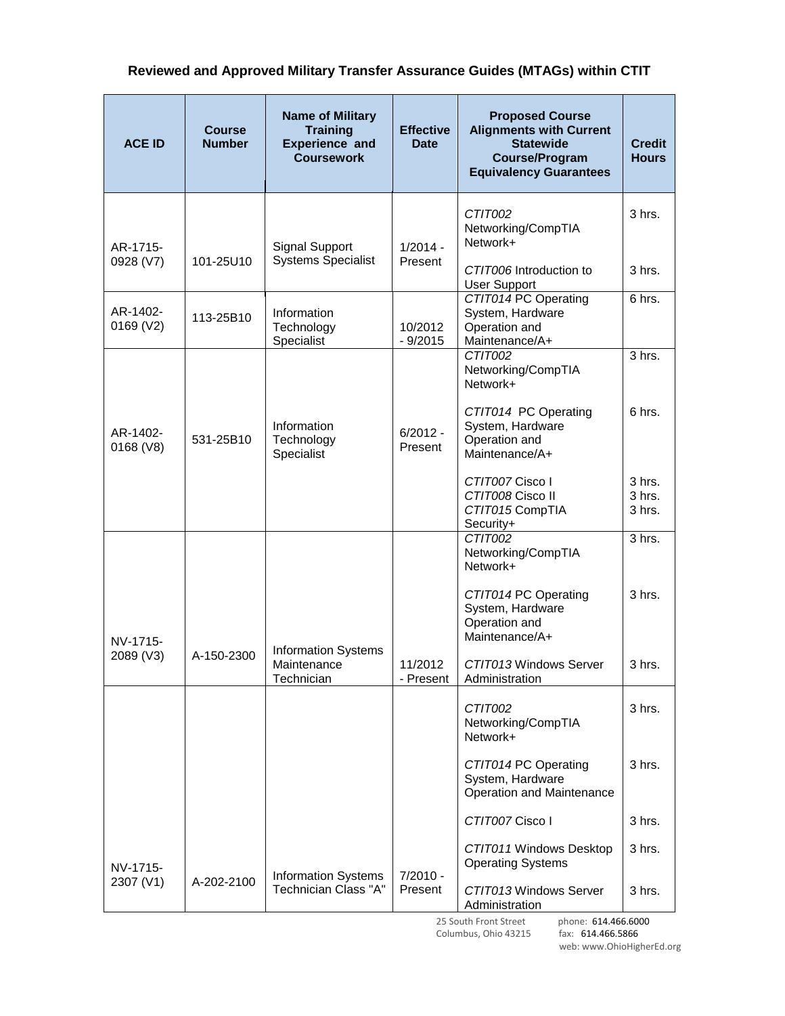# **Reviewed and Approved Military Transfer Assurance Guides (MTAGs) within CTIT**

| <b>ACE ID</b>         | <b>Course</b><br><b>Number</b> | <b>Name of Military</b><br><b>Training</b><br><b>Experience and</b><br><b>Coursework</b> | <b>Effective</b><br><b>Date</b> | <b>Proposed Course</b><br><b>Alignments with Current</b><br><b>Statewide</b><br><b>Course/Program</b><br><b>Equivalency Guarantees</b> | <b>Credit</b><br><b>Hours</b> |
|-----------------------|--------------------------------|------------------------------------------------------------------------------------------|---------------------------------|----------------------------------------------------------------------------------------------------------------------------------------|-------------------------------|
| AR-1715-              |                                | <b>Signal Support</b>                                                                    | $1/2014 -$                      | CTIT002<br>Networking/CompTIA<br>Network+                                                                                              | 3 hrs.                        |
| 0928 (V7)             | 101-25U10                      | <b>Systems Specialist</b>                                                                | Present                         | CTIT006 Introduction to<br><b>User Support</b>                                                                                         | 3 hrs.                        |
| AR-1402-<br>0169 (V2) | 113-25B10                      | Information<br>Technology<br>Specialist                                                  | 10/2012<br>$-9/2015$            | CTIT014 PC Operating<br>System, Hardware<br>Operation and<br>Maintenance/A+                                                            | 6 hrs.                        |
|                       |                                |                                                                                          |                                 | CTIT002<br>Networking/CompTIA<br>Network+                                                                                              | 3 hrs.                        |
| AR-1402-<br>0168 (V8) | 531-25B10                      | Information<br>Technology<br>Specialist                                                  | $6/2012 -$<br>Present           | CTIT014 PC Operating<br>System, Hardware<br>Operation and<br>Maintenance/A+                                                            | 6 hrs.                        |
|                       |                                |                                                                                          |                                 | CTIT007 Cisco I<br>CTIT008 Cisco II<br>CTIT015 CompTIA<br>Security+                                                                    | 3 hrs.<br>3 hrs.<br>3 hrs.    |
|                       |                                |                                                                                          |                                 | CTIT002<br>Networking/CompTIA<br>Network+                                                                                              | 3 hrs.                        |
| NV-1715-              |                                | <b>Information Systems</b>                                                               |                                 | CTIT014 PC Operating<br>System, Hardware<br>Operation and<br>Maintenance/A+                                                            | $3$ hrs.                      |
| 2089 (V3)             | A-150-2300                     | Maintenance<br>Technician                                                                | 11/2012<br>- Present            | CTIT013 Windows Server<br>Administration                                                                                               | 3 hrs.                        |
|                       |                                |                                                                                          |                                 | CTIT002<br>Networking/CompTIA<br>Network+                                                                                              | 3 hrs.                        |
|                       |                                |                                                                                          |                                 | CTIT014 PC Operating<br>System, Hardware<br>Operation and Maintenance                                                                  | 3 hrs.                        |
|                       |                                |                                                                                          |                                 | CTIT007 Cisco I                                                                                                                        | 3 hrs.                        |
| NV-1715-<br>2307 (V1) | A-202-2100                     | <b>Information Systems</b><br>Technician Class "A"                                       | $7/2010 -$<br>Present           | CTIT011 Windows Desktop<br><b>Operating Systems</b>                                                                                    | 3 hrs.                        |
|                       |                                |                                                                                          |                                 | CTIT013 Windows Server<br>Administration                                                                                               | 3 hrs.                        |

 25 South Front Street phone: 614.466.6000 Columbus, Ohio 43215 fax: 614.466.5866